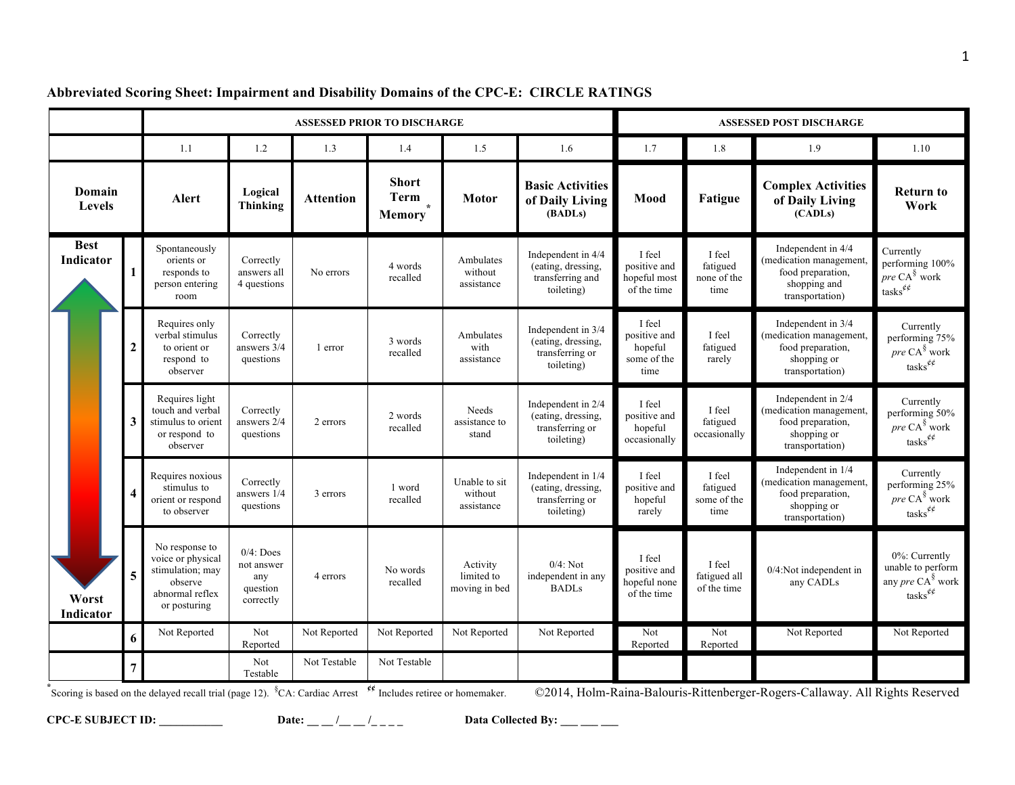|                          |                                                                                                                                                                                                        |                                                                                                       | <b>ASSESSED PRIOR TO DISCHARGE</b>                         |                  |                                       | <b>ASSESSED POST DISCHARGE</b>          |                                                                            |                                                          |                                           |                                                                                                       |                                                                                                  |
|--------------------------|--------------------------------------------------------------------------------------------------------------------------------------------------------------------------------------------------------|-------------------------------------------------------------------------------------------------------|------------------------------------------------------------|------------------|---------------------------------------|-----------------------------------------|----------------------------------------------------------------------------|----------------------------------------------------------|-------------------------------------------|-------------------------------------------------------------------------------------------------------|--------------------------------------------------------------------------------------------------|
|                          |                                                                                                                                                                                                        | 1.1                                                                                                   | 1.2                                                        | 1.3              | 1.4                                   | 1.5                                     | 1.6                                                                        | 1.7                                                      | $1.8\,$                                   | 1.9                                                                                                   | 1.10                                                                                             |
| Domain<br>Levels         |                                                                                                                                                                                                        | <b>Alert</b>                                                                                          | Logical<br><b>Thinking</b>                                 | <b>Attention</b> | <b>Short</b><br>Term<br><b>Memory</b> | Motor                                   | <b>Basic Activities</b><br>of Daily Living<br>(BADLs)                      | Mood                                                     | Fatigue                                   | <b>Complex Activities</b><br>of Daily Living<br>(CADLs)                                               | <b>Return to</b><br>Work                                                                         |
| <b>Best</b><br>Indicator |                                                                                                                                                                                                        | Spontaneously<br>orients or<br>responds to<br>person entering<br>room                                 | Correctly<br>answers all<br>4 questions                    | No errors        | 4 words<br>recalled                   | Ambulates<br>without<br>assistance      | Independent in 4/4<br>(eating, dressing,<br>transferring and<br>toileting) | I feel<br>positive and<br>hopeful most<br>of the time    | I feel<br>fatigued<br>none of the<br>time | Independent in 4/4<br>(medication management,<br>food preparation,<br>shopping and<br>transportation) | Currently<br>performing 100%<br>pre CA <sup>§</sup> work<br>tasks $^{\not\!e\not\!e}$            |
|                          | 2                                                                                                                                                                                                      | Requires only<br>verbal stimulus<br>to orient or<br>respond to<br>observer                            | Correctly<br>answers 3/4<br>questions                      | 1 error          | 3 words<br>recalled                   | Ambulates<br>with<br>assistance         | Independent in 3/4<br>(eating, dressing,<br>transferring or<br>toileting)  | I feel<br>positive and<br>hopeful<br>some of the<br>time | I feel<br>fatigued<br>rarely              | Independent in 3/4<br>(medication management,<br>food preparation,<br>shopping or<br>transportation)  | Currently<br>performing 75%<br>$pre\,CA^{\S}$ work<br>tasks $^{\!\!\phi\phi}$                    |
|                          | 3                                                                                                                                                                                                      | Requires light<br>touch and verbal<br>stimulus to orient<br>or respond to<br>observer                 | Correctly<br>answers 2/4<br>questions                      | 2 errors         | 2 words<br>recalled                   | Needs<br>assistance to<br>stand         | Independent in 2/4<br>(eating, dressing,<br>transferring or<br>toileting)  | I feel<br>positive and<br>hopeful<br>occasionally        | I feel<br>fatigued<br>occasionally        | Independent in 2/4<br>(medication management,<br>food preparation,<br>shopping or<br>transportation)  | Currently<br>performing 50%<br>$pre\,CA^{\S}$ work<br>tasks $^{\not\!e\not\!e}$                  |
|                          |                                                                                                                                                                                                        | Requires noxious<br>stimulus to<br>orient or respond<br>to observer                                   | Correctly<br>answers 1/4<br>questions                      | 3 errors         | 1 word<br>recalled                    | Unable to sit<br>without<br>assistance  | Independent in 1/4<br>(eating, dressing,<br>transferring or<br>toileting)  | I feel<br>positive and<br>hopeful<br>rarely              | I feel<br>fatigued<br>some of the<br>time | Independent in 1/4<br>(medication management,<br>food preparation,<br>shopping or<br>transportation)  | Currently<br>performing 25%<br>pre CA <sup>§</sup> work<br>tasks $e^{\phi \phi}$                 |
| Worst<br>Indicator       | 5                                                                                                                                                                                                      | No response to<br>voice or physical<br>stimulation; may<br>observe<br>abnormal reflex<br>or posturing | $0/4$ : Does<br>not answer<br>any<br>question<br>correctly | 4 errors         | No words<br>recalled                  | Activity<br>limited to<br>moving in bed | $0/4$ : Not<br>independent in any<br><b>BADLs</b>                          | I feel<br>positive and<br>hopeful none<br>of the time    | I feel<br>fatigued all<br>of the time     | 0/4:Not independent in<br>any CADLs                                                                   | 0%: Currently<br>unable to perform<br>any <i>pre</i> $CA^{\S}$ work<br>tasks $^{\not\!e\not\!e}$ |
|                          | 6                                                                                                                                                                                                      | Not Reported                                                                                          | Not<br>Reported                                            | Not Reported     | Not Reported                          | Not Reported                            | Not Reported                                                               | Not<br>Reported                                          | Not<br>Reported                           | Not Reported                                                                                          | Not Reported                                                                                     |
|                          | $\overline{7}$                                                                                                                                                                                         |                                                                                                       | Not<br>Testable                                            | Not Testable     | Not Testable                          |                                         |                                                                            |                                                          |                                           |                                                                                                       |                                                                                                  |
|                          | Scoring is based on the delayed recall trial (page 12). ${}^{8}CA$ : Cardiac Arrest $*$ Includes retiree or homemaker.<br>©2014, Holm-Raina-Balouris-Rittenberger-Rogers-Callaway. All Rights Reserved |                                                                                                       |                                                            |                  |                                       |                                         |                                                                            |                                                          |                                           |                                                                                                       |                                                                                                  |

#### **Abbreviated Scoring Sheet: Impairment and Disability Domains of the CPC-E: CIRCLE RATINGS**

**CPC-E SUBJECT ID:**  $\begin{array}{ccc}\n\hline\nDate: & - \frac{1}{2} - \frac{1}{2} - \frac{1}{2} \\
\hline\n\end{array}$  Data Collected By: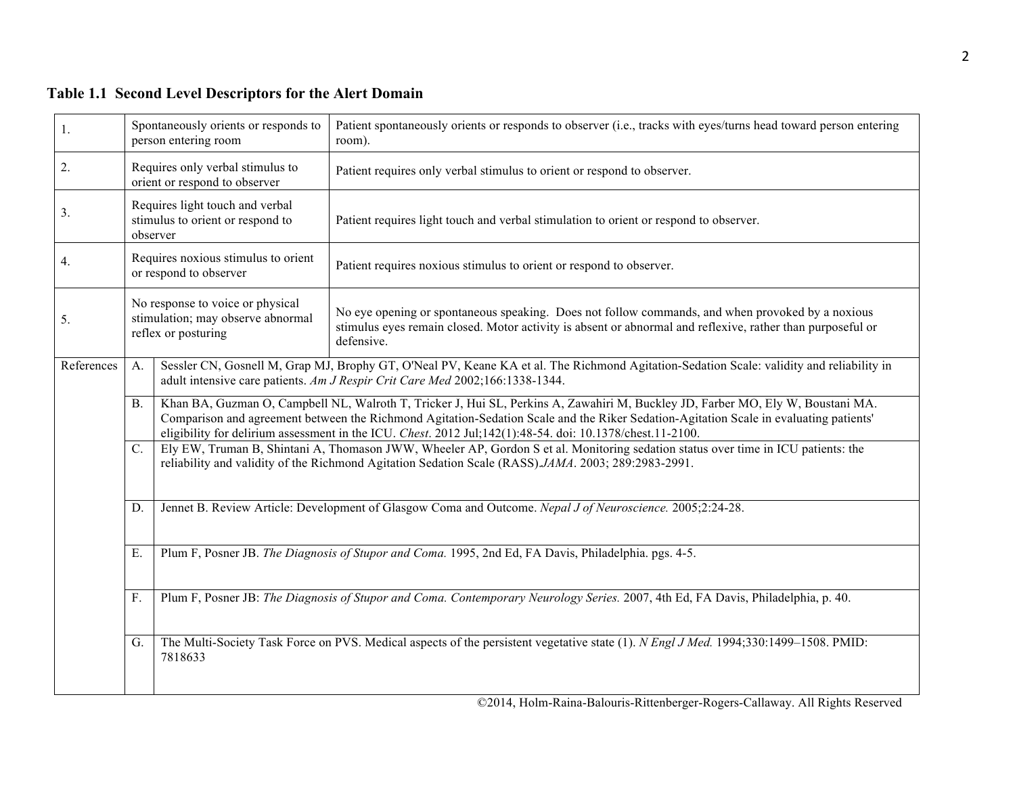# **Table 1.1 Second Level Descriptors for the Alert Domain**

| 1.         |                                                                                                                                                       | Spontaneously orients or responds to<br>person entering room      | Patient spontaneously orients or responds to observer (i.e., tracks with eyes/turns head toward person entering<br>room).                                                                                                                                                                                                                                                                                                                                                                                                                                                                                                         |  |  |
|------------|-------------------------------------------------------------------------------------------------------------------------------------------------------|-------------------------------------------------------------------|-----------------------------------------------------------------------------------------------------------------------------------------------------------------------------------------------------------------------------------------------------------------------------------------------------------------------------------------------------------------------------------------------------------------------------------------------------------------------------------------------------------------------------------------------------------------------------------------------------------------------------------|--|--|
| 2.         |                                                                                                                                                       | Requires only verbal stimulus to<br>orient or respond to observer | Patient requires only verbal stimulus to orient or respond to observer.                                                                                                                                                                                                                                                                                                                                                                                                                                                                                                                                                           |  |  |
| 3.         | Requires light touch and verbal<br>stimulus to orient or respond to<br>observer                                                                       |                                                                   | Patient requires light touch and verbal stimulation to orient or respond to observer.                                                                                                                                                                                                                                                                                                                                                                                                                                                                                                                                             |  |  |
| 4.         |                                                                                                                                                       | Requires noxious stimulus to orient<br>or respond to observer     | Patient requires noxious stimulus to orient or respond to observer.                                                                                                                                                                                                                                                                                                                                                                                                                                                                                                                                                               |  |  |
| 5.         | No response to voice or physical<br>stimulation; may observe abnormal<br>reflex or posturing                                                          |                                                                   | No eye opening or spontaneous speaking. Does not follow commands, and when provoked by a noxious<br>stimulus eyes remain closed. Motor activity is absent or abnormal and reflexive, rather than purposeful or<br>defensive.                                                                                                                                                                                                                                                                                                                                                                                                      |  |  |
| References | A.<br><b>B.</b><br>$\overline{C}$ .                                                                                                                   |                                                                   | Sessler CN, Gosnell M, Grap MJ, Brophy GT, O'Neal PV, Keane KA et al. The Richmond Agitation-Sedation Scale: validity and reliability in<br>adult intensive care patients. Am J Respir Crit Care Med 2002;166:1338-1344.                                                                                                                                                                                                                                                                                                                                                                                                          |  |  |
|            |                                                                                                                                                       |                                                                   | Khan BA, Guzman O, Campbell NL, Walroth T, Tricker J, Hui SL, Perkins A, Zawahiri M, Buckley JD, Farber MO, Ely W, Boustani MA.<br>Comparison and agreement between the Richmond Agitation-Sedation Scale and the Riker Sedation-Agitation Scale in evaluating patients'<br>eligibility for delirium assessment in the ICU. Chest. 2012 Jul;142(1):48-54. doi: 10.1378/chest.11-2100.<br>Ely EW, Truman B, Shintani A, Thomason JWW, Wheeler AP, Gordon S et al. Monitoring sedation status over time in ICU patients: the<br>reliability and validity of the Richmond Agitation Sedation Scale (RASS) JAMA. 2003; 289:2983-2991. |  |  |
|            |                                                                                                                                                       |                                                                   |                                                                                                                                                                                                                                                                                                                                                                                                                                                                                                                                                                                                                                   |  |  |
|            | D.                                                                                                                                                    |                                                                   | Jennet B. Review Article: Development of Glasgow Coma and Outcome. Nepal J of Neuroscience. 2005;2:24-28.                                                                                                                                                                                                                                                                                                                                                                                                                                                                                                                         |  |  |
|            | Е.                                                                                                                                                    |                                                                   | Plum F, Posner JB. The Diagnosis of Stupor and Coma. 1995, 2nd Ed, FA Davis, Philadelphia. pgs. 4-5.                                                                                                                                                                                                                                                                                                                                                                                                                                                                                                                              |  |  |
|            | F.                                                                                                                                                    |                                                                   | Plum F, Posner JB: The Diagnosis of Stupor and Coma. Contemporary Neurology Series. 2007, 4th Ed, FA Davis, Philadelphia, p. 40.                                                                                                                                                                                                                                                                                                                                                                                                                                                                                                  |  |  |
|            | The Multi-Society Task Force on PVS. Medical aspects of the persistent vegetative state (1). N Engl J Med. 1994;330:1499–1508. PMID:<br>G.<br>7818633 |                                                                   |                                                                                                                                                                                                                                                                                                                                                                                                                                                                                                                                                                                                                                   |  |  |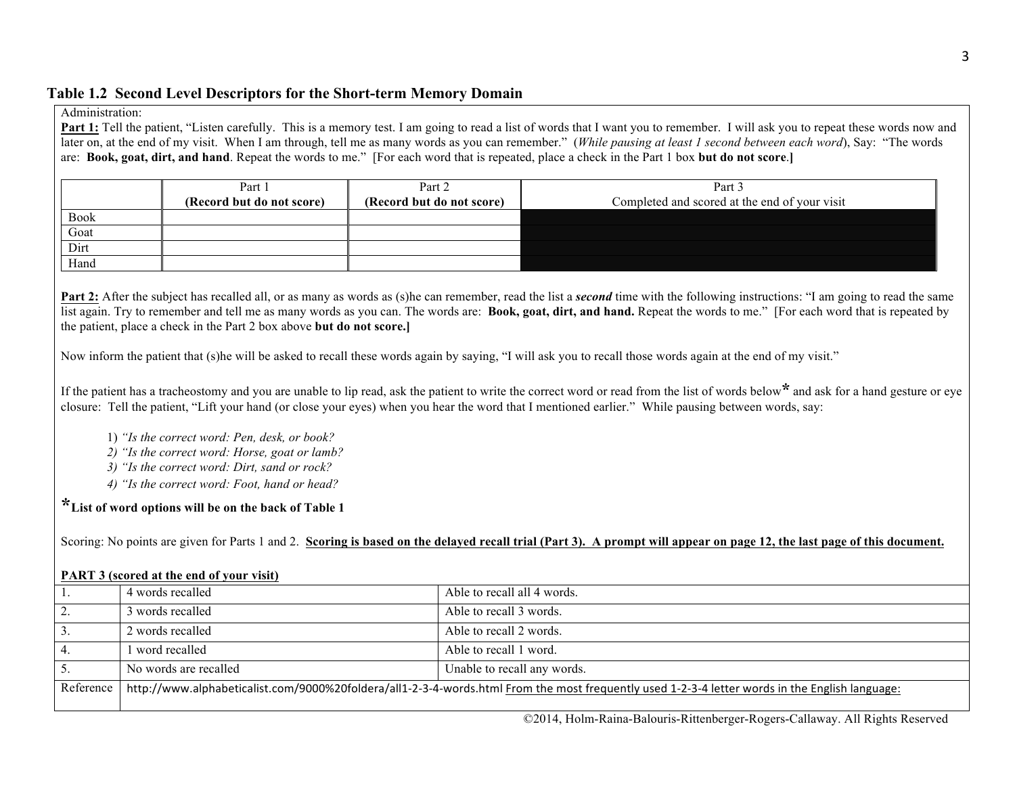#### **Table 1.2 Second Level Descriptors for the Short-term Memory Domain**

#### Administration:

**Part 1:** Tell the patient, "Listen carefully. This is a memory test. I am going to read a list of words that I want you to remember. I will ask you to repeat these words now and later on, at the end of my visit. When I am through, tell me as many words as you can remember." (*While pausing at least 1 second between each word*), Say: "The words are: **Book, goat, dirt, and hand**. Repeat the words to me." [For each word that is repeated, place a check in the Part 1 box **but do not score**.**]**

|             | Part 1<br>(Record but do not score) | Part 2<br>(Record but do not score) | Part 3<br>Completed and scored at the end of your visit |
|-------------|-------------------------------------|-------------------------------------|---------------------------------------------------------|
| <b>Book</b> |                                     |                                     |                                                         |
| Goat        |                                     |                                     |                                                         |
| Dirt        |                                     |                                     |                                                         |
| Hand        |                                     |                                     |                                                         |

**Part 2:** After the subject has recalled all, or as many as words as (s)he can remember, read the list a *second* time with the following instructions: "I am going to read the same list again. Try to remember and tell me as many words as you can. The words are: **Book, goat, dirt, and hand.** Repeat the words to me." [For each word that is repeated by the patient, place a check in the Part 2 box above **but do not score.]**

Now inform the patient that (s)he will be asked to recall these words again by saying, "I will ask you to recall those words again at the end of my visit."

If the patient has a tracheostomy and you are unable to lip read, ask the patient to write the correct word or read from the list of words below**\*** and ask for a hand gesture or eye closure: Tell the patient, "Lift your hand (or close your eyes) when you hear the word that I mentioned earlier." While pausing between words, say:

- 1) *"Is the correct word: Pen, desk, or book?*
- *2) "Is the correct word: Horse, goat or lamb?*
- *3) "Is the correct word: Dirt, sand or rock?*
- *4) "Is the correct word: Foot, hand or head?*

**\*List of word options will be on the back of Table 1**

Scoring: No points are given for Parts 1 and 2. **Scoring is based on the delayed recall trial (Part 3). A prompt will appear on page 12, the last page of this document.**

#### **PART 3 (scored at the end of your visit)**

|           | 4 words recalled      | Able to recall all 4 words.                                                                                                                     |
|-----------|-----------------------|-------------------------------------------------------------------------------------------------------------------------------------------------|
|           | 3 words recalled      | Able to recall 3 words.                                                                                                                         |
|           | 2 words recalled      | Able to recall 2 words.                                                                                                                         |
|           | word recalled         | Able to recall 1 word.                                                                                                                          |
|           | No words are recalled | Unable to recall any words.                                                                                                                     |
| Reference |                       | http://www.alphabeticalist.com/9000%20foldera/all1-2-3-4-words.html From the most frequently used 1-2-3-4 letter words in the English language: |
|           |                       |                                                                                                                                                 |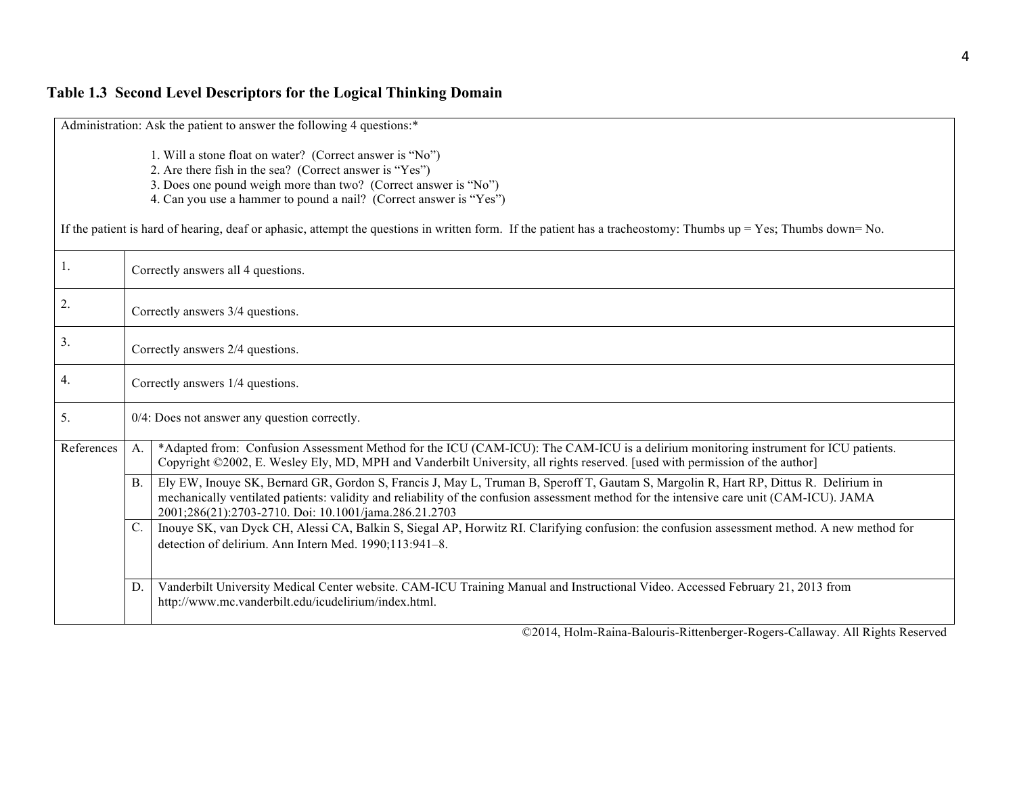# **Table 1.3 Second Level Descriptors for the Logical Thinking Domain**

|                  | Administration: Ask the patient to answer the following 4 questions:*                                                                                                                                                                                                                                                                                                                                                                  |  |  |  |  |
|------------------|----------------------------------------------------------------------------------------------------------------------------------------------------------------------------------------------------------------------------------------------------------------------------------------------------------------------------------------------------------------------------------------------------------------------------------------|--|--|--|--|
|                  | 1. Will a stone float on water? (Correct answer is "No")<br>2. Are there fish in the sea? (Correct answer is "Yes")<br>3. Does one pound weigh more than two? (Correct answer is "No")<br>4. Can you use a hammer to pound a nail? (Correct answer is "Yes")<br>If the patient is hard of hearing, deaf or aphasic, attempt the questions in written form. If the patient has a tracheostomy: Thumbs $up = Yes$ ; Thumbs $down = No$ . |  |  |  |  |
| 1.               | Correctly answers all 4 questions.                                                                                                                                                                                                                                                                                                                                                                                                     |  |  |  |  |
| $\overline{2}$ . | Correctly answers 3/4 questions.                                                                                                                                                                                                                                                                                                                                                                                                       |  |  |  |  |
| 3.               | Correctly answers 2/4 questions.                                                                                                                                                                                                                                                                                                                                                                                                       |  |  |  |  |
| 4.               | Correctly answers 1/4 questions.                                                                                                                                                                                                                                                                                                                                                                                                       |  |  |  |  |
| 5.               | $0/4$ : Does not answer any question correctly.                                                                                                                                                                                                                                                                                                                                                                                        |  |  |  |  |
| References       | *Adapted from: Confusion Assessment Method for the ICU (CAM-ICU): The CAM-ICU is a delirium monitoring instrument for ICU patients.<br>A <sub>1</sub><br>Copyright ©2002, E. Wesley Ely, MD, MPH and Vanderbilt University, all rights reserved. [used with permission of the author]                                                                                                                                                  |  |  |  |  |
|                  | Ely EW, Inouye SK, Bernard GR, Gordon S, Francis J, May L, Truman B, Speroff T, Gautam S, Margolin R, Hart RP, Dittus R. Delirium in<br><b>B.</b><br>mechanically ventilated patients: validity and reliability of the confusion assessment method for the intensive care unit (CAM-ICU). JAMA<br>2001;286(21):2703-2710. Doi: 10.1001/jama.286.21.2703                                                                                |  |  |  |  |
|                  | Inouye SK, van Dyck CH, Alessi CA, Balkin S, Siegal AP, Horwitz RI. Clarifying confusion: the confusion assessment method. A new method for<br>C.<br>detection of delirium. Ann Intern Med. 1990;113:941-8.                                                                                                                                                                                                                            |  |  |  |  |
|                  | Vanderbilt University Medical Center website. CAM-ICU Training Manual and Instructional Video. Accessed February 21, 2013 from<br>D.<br>http://www.mc.vanderbilt.edu/icudelirium/index.html.                                                                                                                                                                                                                                           |  |  |  |  |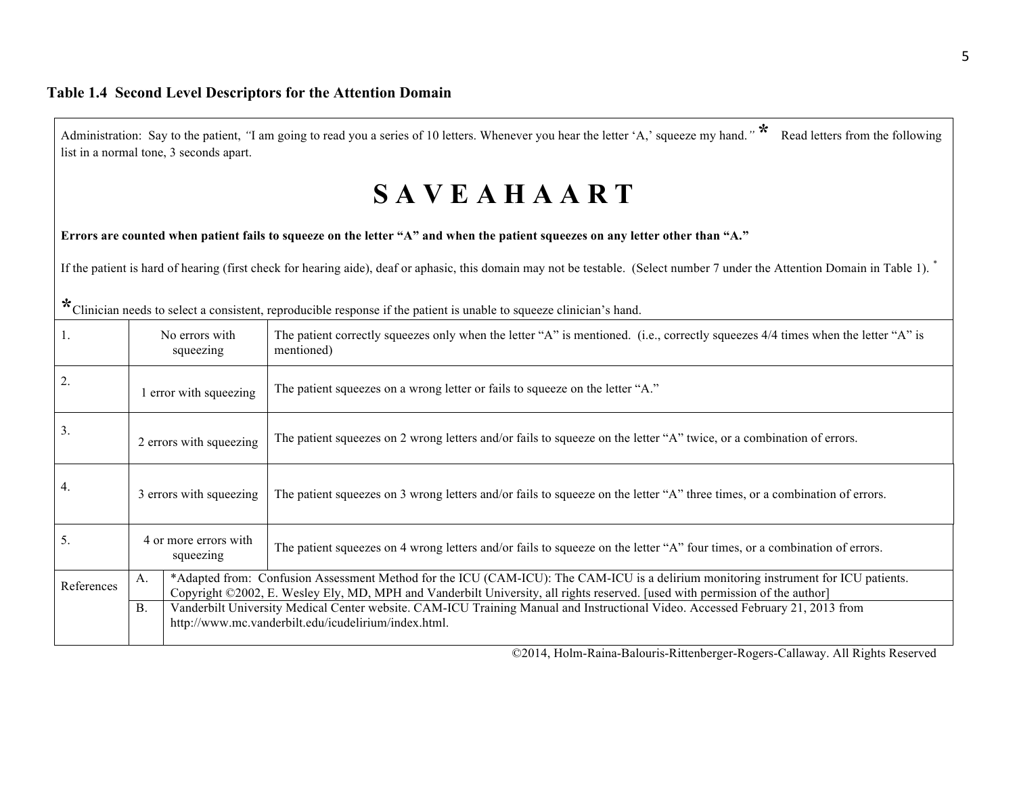|            |                                    | list in a normal tone, 3 seconds apart. | Administration: Say to the patient, "I am going to read you a series of 10 letters. Whenever you hear the letter 'A,' squeeze my hand." Read letters from the following                                                                                             |
|------------|------------------------------------|-----------------------------------------|---------------------------------------------------------------------------------------------------------------------------------------------------------------------------------------------------------------------------------------------------------------------|
|            |                                    |                                         | <b>SAVEAHAART</b>                                                                                                                                                                                                                                                   |
|            |                                    |                                         | Errors are counted when patient fails to squeeze on the letter "A" and when the patient squeezes on any letter other than "A."                                                                                                                                      |
|            |                                    |                                         | If the patient is hard of hearing (first check for hearing aide), deaf or aphasic, this domain may not be testable. (Select number 7 under the Attention Domain in Table 1).                                                                                        |
|            |                                    |                                         | * Clinician needs to select a consistent, reproducible response if the patient is unable to squeeze clinician's hand.                                                                                                                                               |
| -1.        | No errors with<br>squeezing        |                                         | The patient correctly squeezes only when the letter "A" is mentioned. (i.e., correctly squeezes 4/4 times when the letter "A" is<br>mentioned)                                                                                                                      |
| 2.         | 1 error with squeezing             |                                         | The patient squeezes on a wrong letter or fails to squeeze on the letter "A."                                                                                                                                                                                       |
| 3.         | 2 errors with squeezing            |                                         | The patient squeezes on 2 wrong letters and/or fails to squeeze on the letter "A" twice, or a combination of errors.                                                                                                                                                |
| 4.         | 3 errors with squeezing            |                                         | The patient squeezes on 3 wrong letters and/or fails to squeeze on the letter "A" three times, or a combination of errors.                                                                                                                                          |
| 5.         | 4 or more errors with<br>squeezing |                                         | The patient squeezes on 4 wrong letters and/or fails to squeeze on the letter "A" four times, or a combination of errors.                                                                                                                                           |
| References | A.                                 |                                         | *Adapted from: Confusion Assessment Method for the ICU (CAM-ICU): The CAM-ICU is a delirium monitoring instrument for ICU patients.<br>Copyright ©2002, E. Wesley Ely, MD, MPH and Vanderbilt University, all rights reserved. [used with permission of the author] |
|            | <b>B.</b>                          |                                         | Vanderbilt University Medical Center website. CAM-ICU Training Manual and Instructional Video. Accessed February 21, 2013 from<br>http://www.mc.vanderbilt.edu/icudelirium/index.html.                                                                              |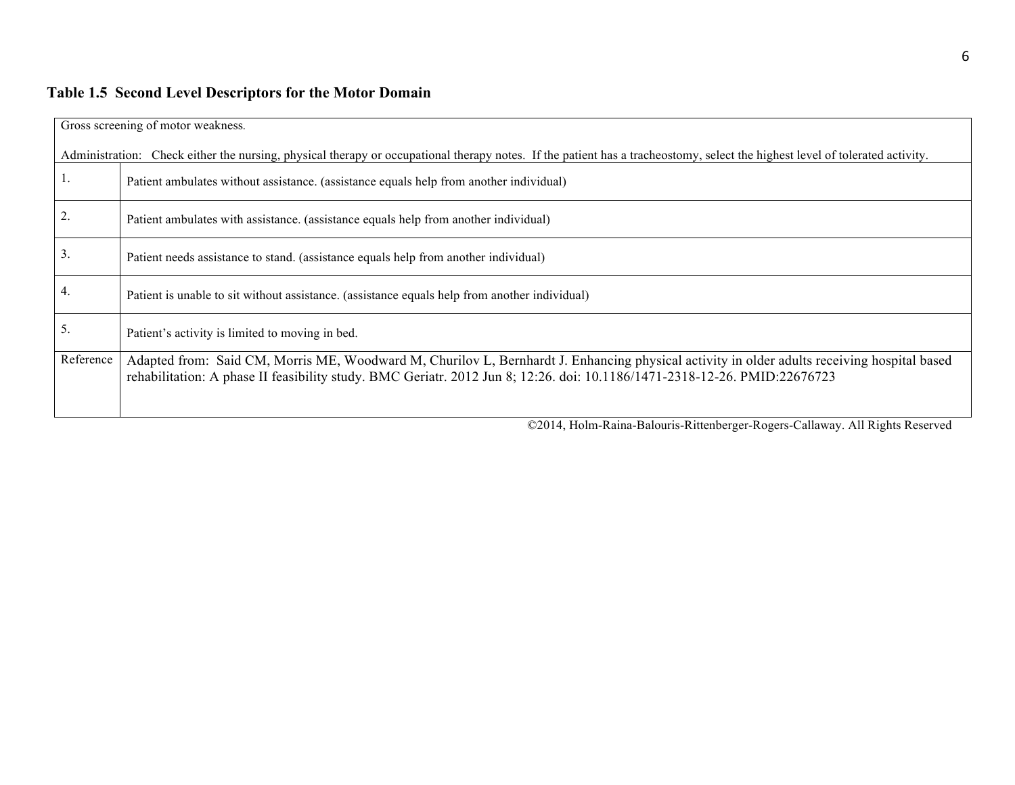# **Table 1.5 Second Level Descriptors for the Motor Domain**

|                  | Gross screening of motor weakness.                                                                                                                                                                                                                                       |  |  |  |
|------------------|--------------------------------------------------------------------------------------------------------------------------------------------------------------------------------------------------------------------------------------------------------------------------|--|--|--|
|                  | Administration: Check either the nursing, physical therapy or occupational therapy notes. If the patient has a tracheostomy, select the highest level of tolerated activity.                                                                                             |  |  |  |
|                  | Patient ambulates without assistance. (assistance equals help from another individual)                                                                                                                                                                                   |  |  |  |
| $\overline{2}$ . | Patient ambulates with assistance. (assistance equals help from another individual)                                                                                                                                                                                      |  |  |  |
| 3.               | Patient needs assistance to stand. (assistance equals help from another individual)                                                                                                                                                                                      |  |  |  |
| $\overline{4}$ . | Patient is unable to sit without assistance. (assistance equals help from another individual)                                                                                                                                                                            |  |  |  |
| 5.               | Patient's activity is limited to moving in bed.                                                                                                                                                                                                                          |  |  |  |
| Reference        | Adapted from: Said CM, Morris ME, Woodward M, Churilov L, Bernhardt J. Enhancing physical activity in older adults receiving hospital based<br>rehabilitation: A phase II feasibility study. BMC Geriatr. 2012 Jun 8; 12:26. doi: 10.1186/1471-2318-12-26. PMID:22676723 |  |  |  |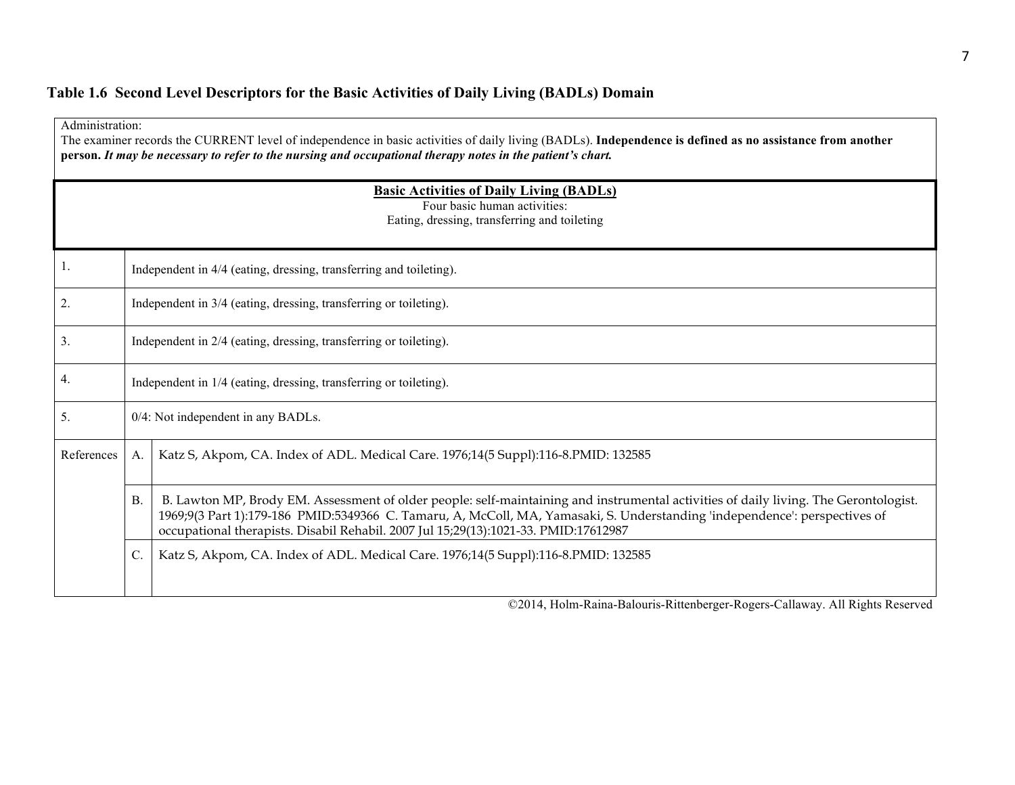# **Table 1.6 Second Level Descriptors for the Basic Activities of Daily Living (BADLs) Domain**

|            | Administration:<br>The examiner records the CURRENT level of independence in basic activities of daily living (BADLs). Independence is defined as no assistance from another<br>person. It may be necessary to refer to the nursing and occupational therapy notes in the patient's chart. |                                                                                                                                                                                                                                                                                                                                                           |  |  |  |
|------------|--------------------------------------------------------------------------------------------------------------------------------------------------------------------------------------------------------------------------------------------------------------------------------------------|-----------------------------------------------------------------------------------------------------------------------------------------------------------------------------------------------------------------------------------------------------------------------------------------------------------------------------------------------------------|--|--|--|
|            | <b>Basic Activities of Daily Living (BADLs)</b><br>Four basic human activities:<br>Eating, dressing, transferring and toileting                                                                                                                                                            |                                                                                                                                                                                                                                                                                                                                                           |  |  |  |
| 1.         | Independent in 4/4 (eating, dressing, transferring and toileting).                                                                                                                                                                                                                         |                                                                                                                                                                                                                                                                                                                                                           |  |  |  |
| 2.         |                                                                                                                                                                                                                                                                                            | Independent in 3/4 (eating, dressing, transferring or toileting).                                                                                                                                                                                                                                                                                         |  |  |  |
| 3.         |                                                                                                                                                                                                                                                                                            | Independent in 2/4 (eating, dressing, transferring or toileting).                                                                                                                                                                                                                                                                                         |  |  |  |
| 4.         |                                                                                                                                                                                                                                                                                            | Independent in 1/4 (eating, dressing, transferring or toileting).                                                                                                                                                                                                                                                                                         |  |  |  |
| 5.         | 0/4: Not independent in any BADLs.                                                                                                                                                                                                                                                         |                                                                                                                                                                                                                                                                                                                                                           |  |  |  |
| References | A.                                                                                                                                                                                                                                                                                         | Katz S, Akpom, CA. Index of ADL. Medical Care. 1976;14(5 Suppl):116-8.PMID: 132585                                                                                                                                                                                                                                                                        |  |  |  |
|            | <b>B</b> .                                                                                                                                                                                                                                                                                 | B. Lawton MP, Brody EM. Assessment of older people: self-maintaining and instrumental activities of daily living. The Gerontologist.<br>1969;9(3 Part 1):179-186 PMID:5349366 C. Tamaru, A, McColl, MA, Yamasaki, S. Understanding 'independence': perspectives of<br>occupational therapists. Disabil Rehabil. 2007 Jul 15;29(13):1021-33. PMID:17612987 |  |  |  |
|            | $\mathcal{C}$ .                                                                                                                                                                                                                                                                            | Katz S, Akpom, CA. Index of ADL. Medical Care. 1976;14(5 Suppl):116-8.PMID: 132585                                                                                                                                                                                                                                                                        |  |  |  |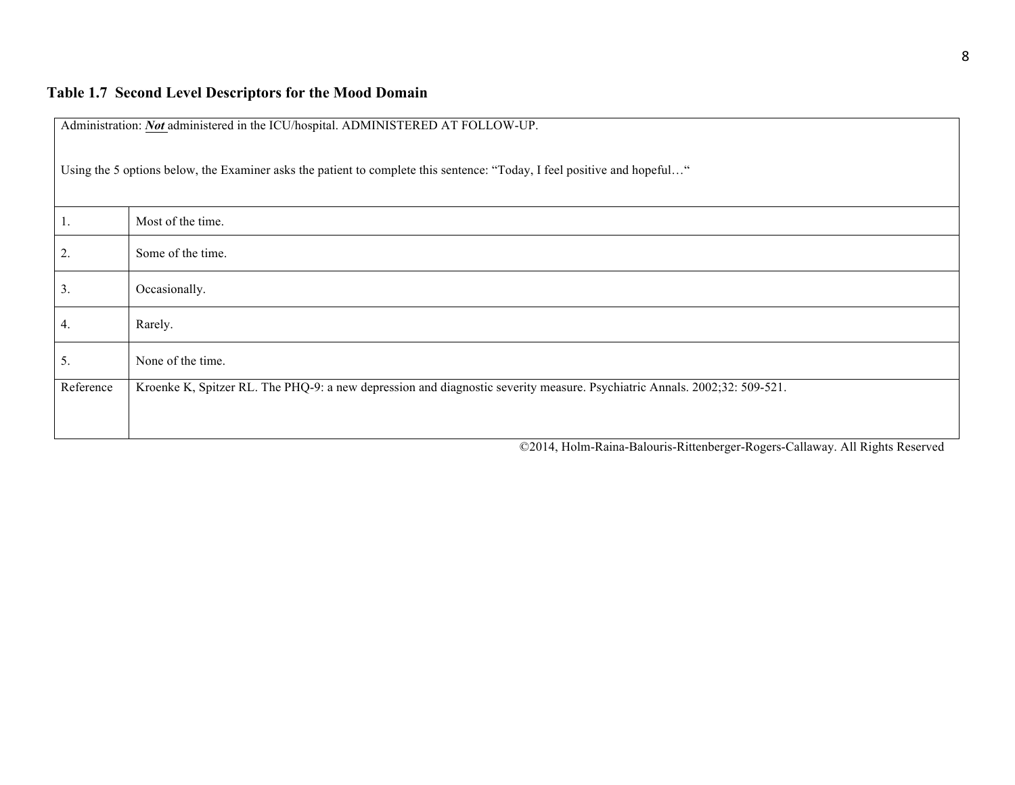| Administration: Not administered in the ICU/hospital. ADMINISTERED AT FOLLOW-UP.                                         |                                                                                                                           |  |  |  |
|--------------------------------------------------------------------------------------------------------------------------|---------------------------------------------------------------------------------------------------------------------------|--|--|--|
| Using the 5 options below, the Examiner asks the patient to complete this sentence: "Today, I feel positive and hopeful" |                                                                                                                           |  |  |  |
| 1.                                                                                                                       | Most of the time.                                                                                                         |  |  |  |
| 2.                                                                                                                       | Some of the time.                                                                                                         |  |  |  |
| 3.                                                                                                                       | Occasionally.                                                                                                             |  |  |  |
| 4.                                                                                                                       | Rarely.                                                                                                                   |  |  |  |
| 5.                                                                                                                       | None of the time.                                                                                                         |  |  |  |
| Reference                                                                                                                | Kroenke K, Spitzer RL. The PHQ-9: a new depression and diagnostic severity measure. Psychiatric Annals. 2002;32: 509-521. |  |  |  |
|                                                                                                                          |                                                                                                                           |  |  |  |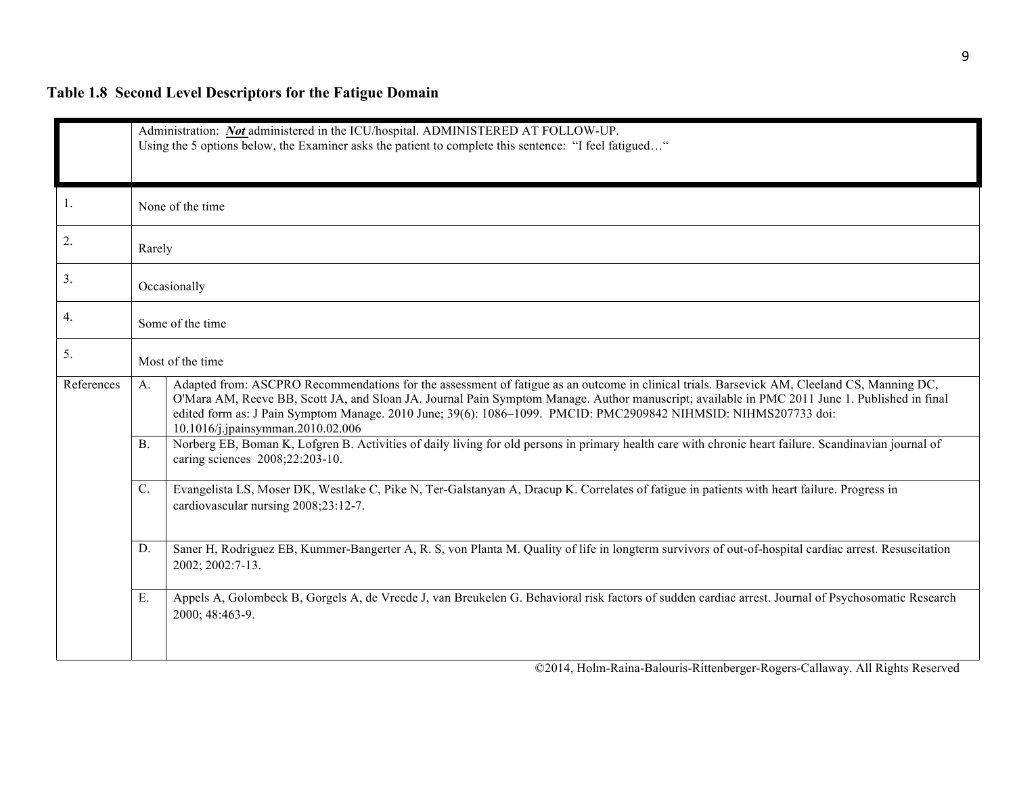# **Table 1.8 Second Level Descriptors for the Fatigue Domain**

|            | Administration: Not administered in the ICU/hospital. ADMINISTERED AT FOLLOW-UP.<br>Using the 5 options below, the Examiner asks the patient to complete this sentence: "I feel fatigued" |                                                                                                                                                                                                                                                                                                                                                                                                                                                      |  |  |
|------------|-------------------------------------------------------------------------------------------------------------------------------------------------------------------------------------------|------------------------------------------------------------------------------------------------------------------------------------------------------------------------------------------------------------------------------------------------------------------------------------------------------------------------------------------------------------------------------------------------------------------------------------------------------|--|--|
| 1.         |                                                                                                                                                                                           | None of the time                                                                                                                                                                                                                                                                                                                                                                                                                                     |  |  |
| 2.         | Rarely                                                                                                                                                                                    |                                                                                                                                                                                                                                                                                                                                                                                                                                                      |  |  |
| 3.         |                                                                                                                                                                                           | Occasionally                                                                                                                                                                                                                                                                                                                                                                                                                                         |  |  |
| 4.         |                                                                                                                                                                                           | Some of the time                                                                                                                                                                                                                                                                                                                                                                                                                                     |  |  |
| 5.         |                                                                                                                                                                                           | Most of the time                                                                                                                                                                                                                                                                                                                                                                                                                                     |  |  |
| References | $A_{-}$                                                                                                                                                                                   | Adapted from: ASCPRO Recommendations for the assessment of fatigue as an outcome in clinical trials. Barsevick AM, Cleeland CS, Manning DC,<br>O'Mara AM, Reeve BB, Scott JA, and Sloan JA. Journal Pain Symptom Manage. Author manuscript; available in PMC 2011 June 1. Published in final<br>edited form as: J Pain Symptom Manage. 2010 June; 39(6): 1086-1099. PMCID: PMC2909842 NIHMSID: NIHMS207733 doi:<br>10.1016/j.jpainsymman.2010.02.006 |  |  |
|            | <b>B</b> .                                                                                                                                                                                | Norberg EB, Boman K, Lofgren B. Activities of daily living for old persons in primary health care with chronic heart failure. Scandinavian journal of<br>caring sciences 2008;22:203-10.                                                                                                                                                                                                                                                             |  |  |
|            | $\mathbb{C}$ .                                                                                                                                                                            | Evangelista LS, Moser DK, Westlake C, Pike N, Ter-Galstanyan A, Dracup K. Correlates of fatigue in patients with heart failure. Progress in<br>cardiovascular nursing 2008;23:12-7.                                                                                                                                                                                                                                                                  |  |  |
|            | D.                                                                                                                                                                                        | Saner H, Rodriguez EB, Kummer-Bangerter A, R. S, von Planta M. Quality of life in longterm survivors of out-of-hospital cardiac arrest. Resuscitation<br>2002; 2002:7-13.                                                                                                                                                                                                                                                                            |  |  |
|            | E.                                                                                                                                                                                        | Appels A, Golombeck B, Gorgels A, de Vreede J, van Breukelen G. Behavioral risk factors of sudden cardiac arrest. Journal of Psychosomatic Research<br>2000; 48:463-9.                                                                                                                                                                                                                                                                               |  |  |
|            |                                                                                                                                                                                           | ©2014, Holm-Raina-Balouris-Rittenberger-Rogers-Callaway. All Rights Reserved                                                                                                                                                                                                                                                                                                                                                                         |  |  |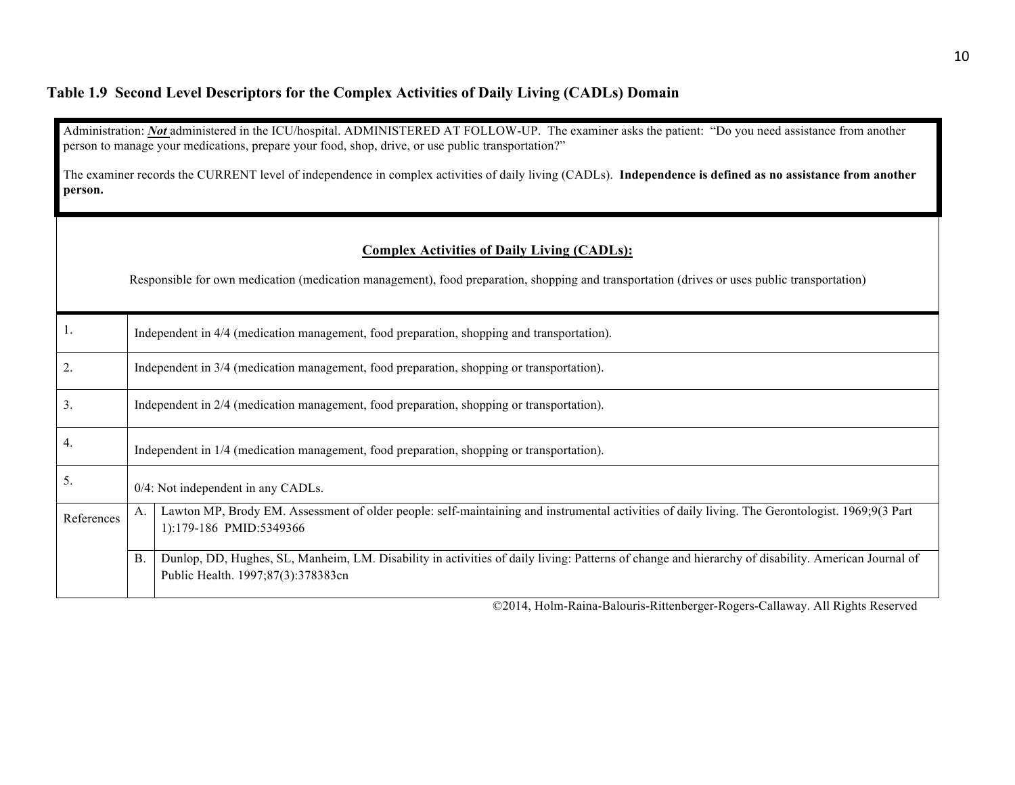# **Table 1.9 Second Level Descriptors for the Complex Activities of Daily Living (CADLs) Domain**

|            |                                                                                                                                                             | Administration: Not administered in the ICU/hospital. ADMINISTERED AT FOLLOW-UP. The examiner asks the patient: "Do you need assistance from another<br>person to manage your medications, prepare your food, shop, drive, or use public transportation?" |  |  |  |
|------------|-------------------------------------------------------------------------------------------------------------------------------------------------------------|-----------------------------------------------------------------------------------------------------------------------------------------------------------------------------------------------------------------------------------------------------------|--|--|--|
| person.    | The examiner records the CURRENT level of independence in complex activities of daily living (CADLs). Independence is defined as no assistance from another |                                                                                                                                                                                                                                                           |  |  |  |
|            |                                                                                                                                                             | <b>Complex Activities of Daily Living (CADLs):</b><br>Responsible for own medication (medication management), food preparation, shopping and transportation (drives or uses public transportation)                                                        |  |  |  |
| 1.         | Independent in 4/4 (medication management, food preparation, shopping and transportation).                                                                  |                                                                                                                                                                                                                                                           |  |  |  |
| 2.         | Independent in 3/4 (medication management, food preparation, shopping or transportation).                                                                   |                                                                                                                                                                                                                                                           |  |  |  |
| 3.         | Independent in 2/4 (medication management, food preparation, shopping or transportation).                                                                   |                                                                                                                                                                                                                                                           |  |  |  |
| 4.         | Independent in 1/4 (medication management, food preparation, shopping or transportation).                                                                   |                                                                                                                                                                                                                                                           |  |  |  |
| 5.         | 0/4: Not independent in any CADLs.                                                                                                                          |                                                                                                                                                                                                                                                           |  |  |  |
| References | А.                                                                                                                                                          | Lawton MP, Brody EM. Assessment of older people: self-maintaining and instrumental activities of daily living. The Gerontologist. 1969;9(3 Part<br>1):179-186 PMID:5349366                                                                                |  |  |  |
|            | <b>B</b> .                                                                                                                                                  | Dunlop, DD, Hughes, SL, Manheim, LM. Disability in activities of daily living: Patterns of change and hierarchy of disability. American Journal of<br>Public Health. 1997;87(3):378383cn                                                                  |  |  |  |
|            |                                                                                                                                                             |                                                                                                                                                                                                                                                           |  |  |  |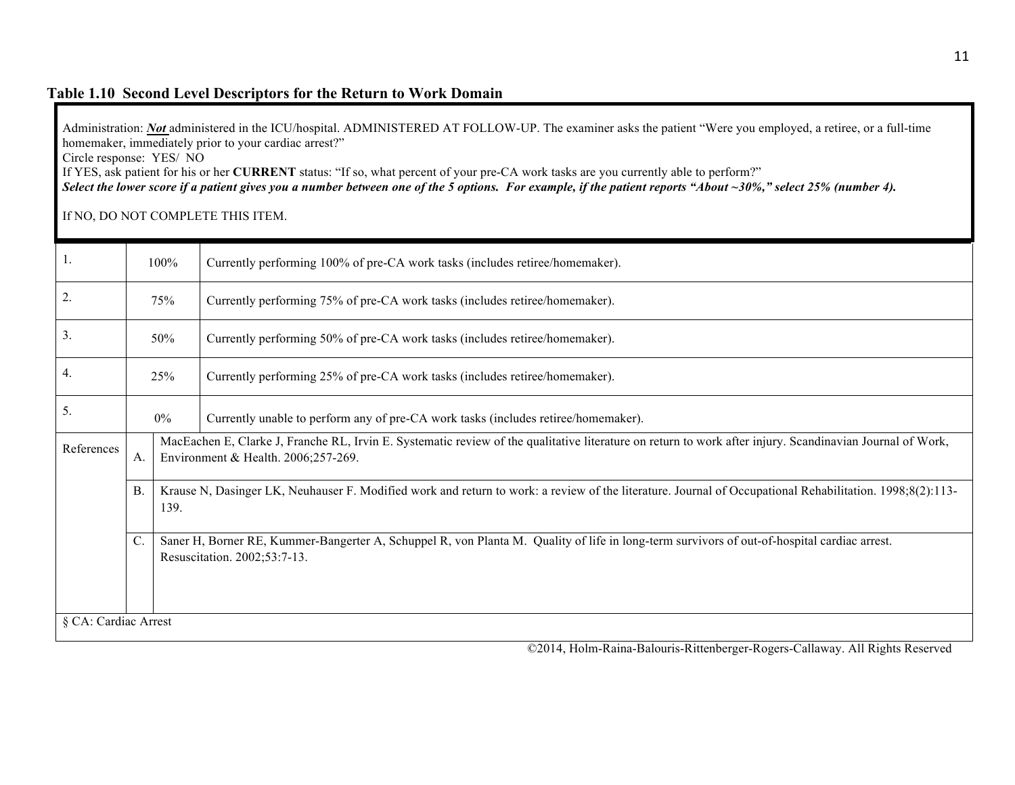#### **Table 1.10 Second Level Descriptors for the Return to Work Domain**

Administration: *Not* administered in the ICU/hospital. ADMINISTERED AT FOLLOW-UP. The examiner asks the patient "Were you employed, a retiree, or a full-time homemaker, immediately prior to your cardiac arrest?"

Circle response: YES/ NO

If YES, ask patient for his or her **CURRENT** status: "If so, what percent of your pre-CA work tasks are you currently able to perform?"

*Select the lower score if a patient gives you a number between one of the 5 options. For example, if the patient reports "About ~30%," select 25% (number 4).*

If NO, DO NOT COMPLETE THIS ITEM.

|            | 100%                                                                                                                                                                                 |                                                                                                                                                                                                  | Currently performing 100% of pre-CA work tasks (includes retiree/homemaker).       |  |
|------------|--------------------------------------------------------------------------------------------------------------------------------------------------------------------------------------|--------------------------------------------------------------------------------------------------------------------------------------------------------------------------------------------------|------------------------------------------------------------------------------------|--|
| 2.         | 75%                                                                                                                                                                                  |                                                                                                                                                                                                  | Currently performing 75% of pre-CA work tasks (includes retiree/homemaker).        |  |
| 3.         | 50%                                                                                                                                                                                  |                                                                                                                                                                                                  | Currently performing 50% of pre-CA work tasks (includes retiree/homemaker).        |  |
| 4.         | 25%                                                                                                                                                                                  |                                                                                                                                                                                                  | Currently performing 25% of pre-CA work tasks (includes retiree/homemaker).        |  |
| 5.         | 0%                                                                                                                                                                                   |                                                                                                                                                                                                  | Currently unable to perform any of pre-CA work tasks (includes retiree/homemaker). |  |
| References | A.                                                                                                                                                                                   | MacEachen E, Clarke J, Franche RL, Irvin E. Systematic review of the qualitative literature on return to work after injury. Scandinavian Journal of Work,<br>Environment & Health. 2006;257-269. |                                                                                    |  |
|            | <b>B</b> .                                                                                                                                                                           | Krause N, Dasinger LK, Neuhauser F. Modified work and return to work: a review of the literature. Journal of Occupational Rehabilitation. 1998;8(2):113-<br>139.                                 |                                                                                    |  |
|            | $C$ .<br>Saner H, Borner RE, Kummer-Bangerter A, Schuppel R, von Planta M. Quality of life in long-term survivors of out-of-hospital cardiac arrest.<br>Resuscitation. 2002;53:7-13. |                                                                                                                                                                                                  |                                                                                    |  |
|            | § CA: Cardiac Arrest                                                                                                                                                                 |                                                                                                                                                                                                  |                                                                                    |  |